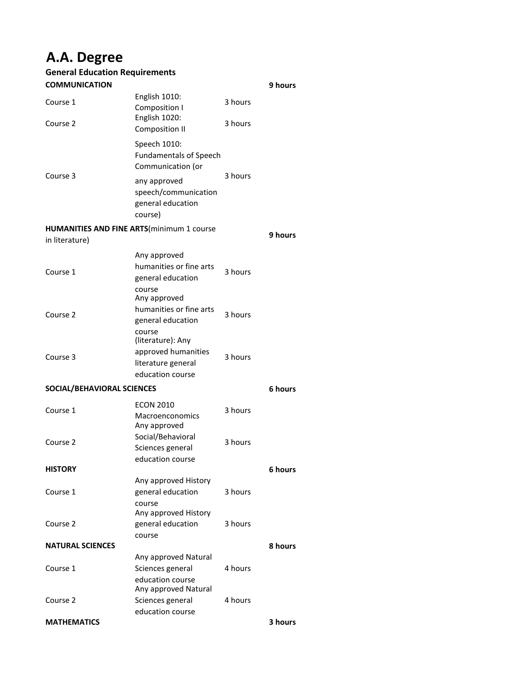## **A.A. Degree**

| <b>General Education Requirements</b>                                |                                                                                    |         |                |
|----------------------------------------------------------------------|------------------------------------------------------------------------------------|---------|----------------|
| <b>COMMUNICATION</b>                                                 |                                                                                    |         | <b>9 hours</b> |
| Course 1                                                             | English 1010:<br>Composition I<br>English 1020:                                    | 3 hours |                |
| Course 2                                                             | <b>Composition II</b>                                                              | 3 hours |                |
| Course 3                                                             | Speech 1010:<br><b>Fundamentals of Speech</b><br>Communication (or                 | 3 hours |                |
|                                                                      | any approved<br>speech/communication<br>general education<br>course)               |         |                |
| <b>HUMANITIES AND FINE ARTS (minimum 1 course)</b><br>in literature) |                                                                                    |         | 9 hours        |
| Course 1                                                             | Any approved<br>humanities or fine arts<br>general education<br>course             | 3 hours |                |
| Course 2                                                             | Any approved<br>humanities or fine arts<br>general education<br>course             | 3 hours |                |
| Course 3                                                             | (literature): Any<br>approved humanities<br>literature general<br>education course | 3 hours |                |
| SOCIAL/BEHAVIORAL SCIENCES                                           |                                                                                    |         | 6 hours        |
| Course 1                                                             | <b>ECON 2010</b><br>Macroenconomics<br>Any approved                                | 3 hours |                |
| Course 2                                                             | Social/Behavioral<br>Sciences general<br>education course                          | 3 hours |                |
| <b>HISTORY</b>                                                       |                                                                                    |         | 6 hours        |
| Course 1                                                             | Any approved History<br>general education<br>course<br>Any approved History        | 3 hours |                |
| Course 2                                                             | general education<br>course                                                        | 3 hours |                |
| <b>NATURAL SCIENCES</b>                                              |                                                                                    |         | 8 hours        |
|                                                                      | Any approved Natural                                                               |         |                |
| Course 1                                                             | Sciences general<br>education course<br>Any approved Natural                       | 4 hours |                |
| Course 2                                                             | Sciences general<br>education course                                               | 4 hours |                |
| <b>MATHEMATICS</b>                                                   |                                                                                    |         | 3 hours        |